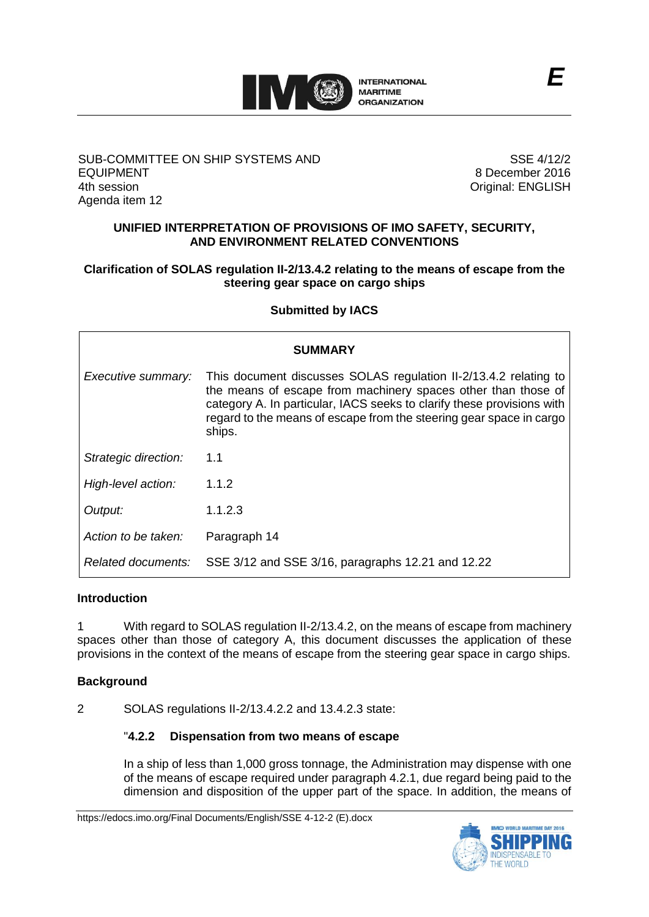

## SUB-COMMITTEE ON SHIP SYSTEMS AND EQUIPMENT 4th session Agenda item 12

SSE 4/12/2 8 December 2016 Original: ENGLISH

## **UNIFIED INTERPRETATION OF PROVISIONS OF IMO SAFETY, SECURITY, AND ENVIRONMENT RELATED CONVENTIONS**

## **Clarification of SOLAS regulation II-2/13.4.2 relating to the means of escape from the steering gear space on cargo ships**

## **Submitted by IACS**

| SUMMARY              |                                                                                                                                                                                                                                                                                              |
|----------------------|----------------------------------------------------------------------------------------------------------------------------------------------------------------------------------------------------------------------------------------------------------------------------------------------|
| Executive summary:   | This document discusses SOLAS regulation II-2/13.4.2 relating to<br>the means of escape from machinery spaces other than those of<br>category A. In particular, IACS seeks to clarify these provisions with<br>regard to the means of escape from the steering gear space in cargo<br>ships. |
| Strategic direction: | 1.1                                                                                                                                                                                                                                                                                          |
| High-level action:   | 1.1.2                                                                                                                                                                                                                                                                                        |
| Output:              | 1.1.2.3                                                                                                                                                                                                                                                                                      |
| Action to be taken:  | Paragraph 14                                                                                                                                                                                                                                                                                 |
| Related documents:   | SSE 3/12 and SSE 3/16, paragraphs 12.21 and 12.22                                                                                                                                                                                                                                            |

#### **Introduction**

1 With regard to SOLAS regulation II-2/13.4.2, on the means of escape from machinery spaces other than those of category A, this document discusses the application of these provisions in the context of the means of escape from the steering gear space in cargo ships.

## **Background**

2 SOLAS regulations II-2/13.4.2.2 and 13.4.2.3 state:

#### "**4.2.2 Dispensation from two means of escape**

In a ship of less than 1,000 gross tonnage, the Administration may dispense with one of the means of escape required under paragraph 4.2.1, due regard being paid to the dimension and disposition of the upper part of the space. In addition, the means of

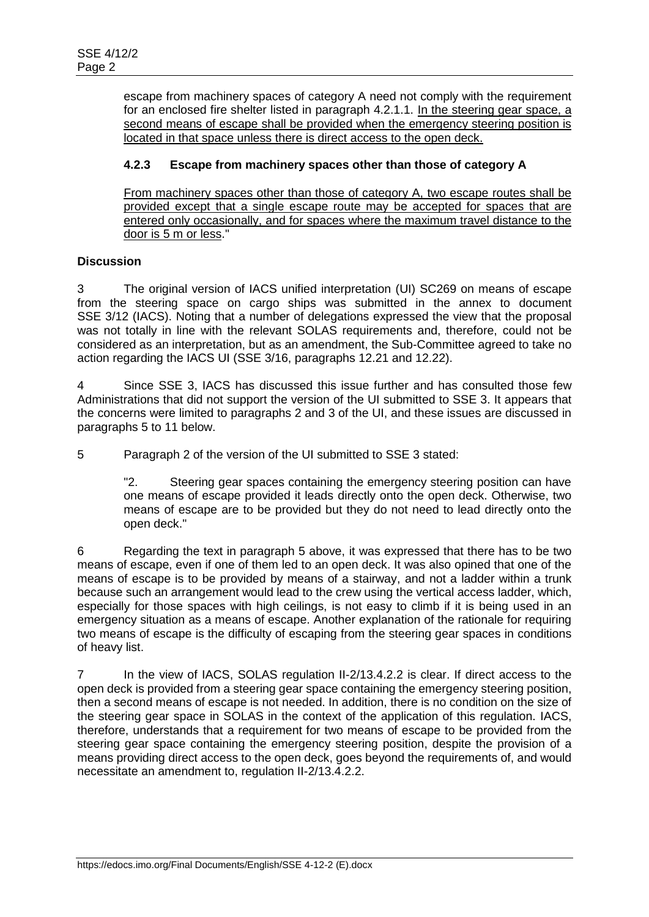escape from machinery spaces of category A need not comply with the requirement for an enclosed fire shelter listed in paragraph 4.2.1.1. In the steering gear space, a second means of escape shall be provided when the emergency steering position is located in that space unless there is direct access to the open deck.

## **4.2.3 Escape from machinery spaces other than those of category A**

From machinery spaces other than those of category A, two escape routes shall be provided except that a single escape route may be accepted for spaces that are entered only occasionally, and for spaces where the maximum travel distance to the door is 5 m or less."

## **Discussion**

3 The original version of IACS unified interpretation (UI) SC269 on means of escape from the steering space on cargo ships was submitted in the annex to document SSE 3/12 (IACS). Noting that a number of delegations expressed the view that the proposal was not totally in line with the relevant SOLAS requirements and, therefore, could not be considered as an interpretation, but as an amendment, the Sub-Committee agreed to take no action regarding the IACS UI (SSE 3/16, paragraphs 12.21 and 12.22).

4 Since SSE 3, IACS has discussed this issue further and has consulted those few Administrations that did not support the version of the UI submitted to SSE 3. It appears that the concerns were limited to paragraphs 2 and 3 of the UI, and these issues are discussed in paragraphs 5 to 11 below.

5 Paragraph 2 of the version of the UI submitted to SSE 3 stated:

"2. Steering gear spaces containing the emergency steering position can have one means of escape provided it leads directly onto the open deck. Otherwise, two means of escape are to be provided but they do not need to lead directly onto the open deck."

6 Regarding the text in paragraph 5 above, it was expressed that there has to be two means of escape, even if one of them led to an open deck. It was also opined that one of the means of escape is to be provided by means of a stairway, and not a ladder within a trunk because such an arrangement would lead to the crew using the vertical access ladder, which, especially for those spaces with high ceilings, is not easy to climb if it is being used in an emergency situation as a means of escape. Another explanation of the rationale for requiring two means of escape is the difficulty of escaping from the steering gear spaces in conditions of heavy list.

7 In the view of IACS, SOLAS regulation II-2/13.4.2.2 is clear. If direct access to the open deck is provided from a steering gear space containing the emergency steering position, then a second means of escape is not needed. In addition, there is no condition on the size of the steering gear space in SOLAS in the context of the application of this regulation. IACS, therefore, understands that a requirement for two means of escape to be provided from the steering gear space containing the emergency steering position, despite the provision of a means providing direct access to the open deck, goes beyond the requirements of, and would necessitate an amendment to, regulation II-2/13.4.2.2.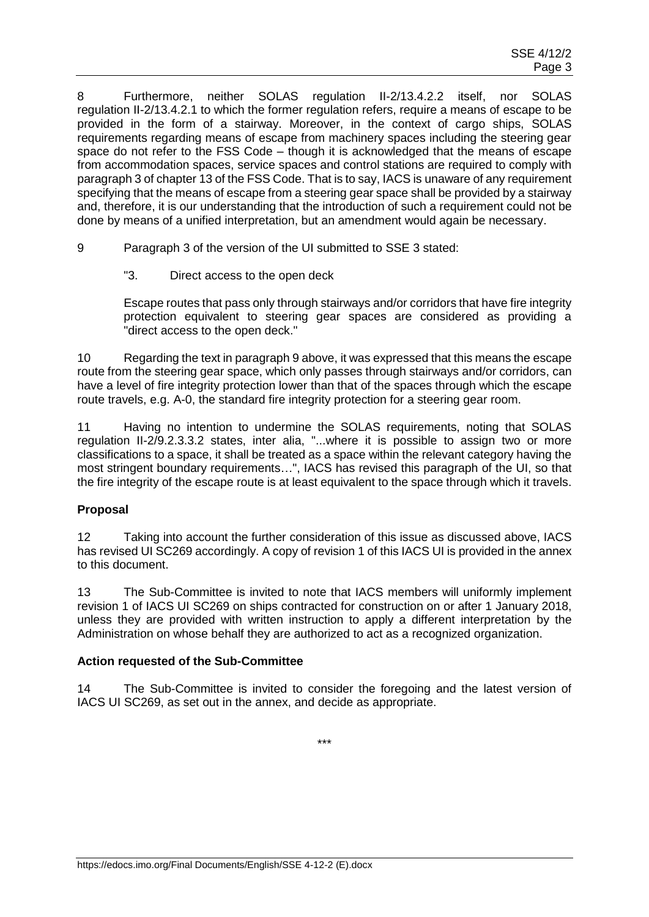8 Furthermore, neither SOLAS regulation II-2/13.4.2.2 itself, nor SOLAS regulation II-2/13.4.2.1 to which the former regulation refers, require a means of escape to be provided in the form of a stairway. Moreover, in the context of cargo ships, SOLAS requirements regarding means of escape from machinery spaces including the steering gear space do not refer to the FSS Code – though it is acknowledged that the means of escape from accommodation spaces, service spaces and control stations are required to comply with paragraph 3 of chapter 13 of the FSS Code. That is to say, IACS is unaware of any requirement specifying that the means of escape from a steering gear space shall be provided by a stairway and, therefore, it is our understanding that the introduction of such a requirement could not be done by means of a unified interpretation, but an amendment would again be necessary.

- 9 Paragraph 3 of the version of the UI submitted to SSE 3 stated:
	- "3. Direct access to the open deck

Escape routes that pass only through stairways and/or corridors that have fire integrity protection equivalent to steering gear spaces are considered as providing a "direct access to the open deck."

10 Regarding the text in paragraph 9 above, it was expressed that this means the escape route from the steering gear space, which only passes through stairways and/or corridors, can have a level of fire integrity protection lower than that of the spaces through which the escape route travels, e.g. A-0, the standard fire integrity protection for a steering gear room.

11 Having no intention to undermine the SOLAS requirements, noting that SOLAS regulation II-2/9.2.3.3.2 states, inter alia, "...where it is possible to assign two or more classifications to a space, it shall be treated as a space within the relevant category having the most stringent boundary requirements…", IACS has revised this paragraph of the UI, so that the fire integrity of the escape route is at least equivalent to the space through which it travels.

## **Proposal**

12 Taking into account the further consideration of this issue as discussed above, IACS has revised UI SC269 accordingly. A copy of revision 1 of this IACS UI is provided in the annex to this document.

13 The Sub-Committee is invited to note that IACS members will uniformly implement revision 1 of IACS UI SC269 on ships contracted for construction on or after 1 January 2018, unless they are provided with written instruction to apply a different interpretation by the Administration on whose behalf they are authorized to act as a recognized organization.

#### **Action requested of the Sub-Committee**

14 The Sub-Committee is invited to consider the foregoing and the latest version of IACS UI SC269, as set out in the annex, and decide as appropriate.

\*\*\*